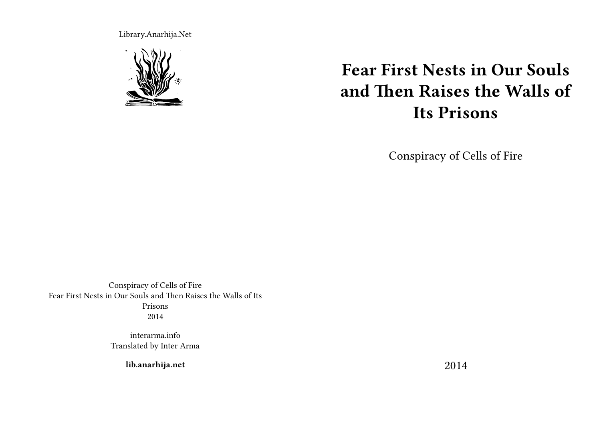Library.Anarhija.Net



# **Fear First Nests in Our Souls and Then Raises the Walls of Its Prisons**

Conspiracy of Cells of Fire

Conspiracy of Cells of Fire Fear First Nests in Our Souls and Then Raises the Walls of Its Prisons 2014

> interarma.info Translated by Inter Arma

> > **lib.anarhija.net**

2014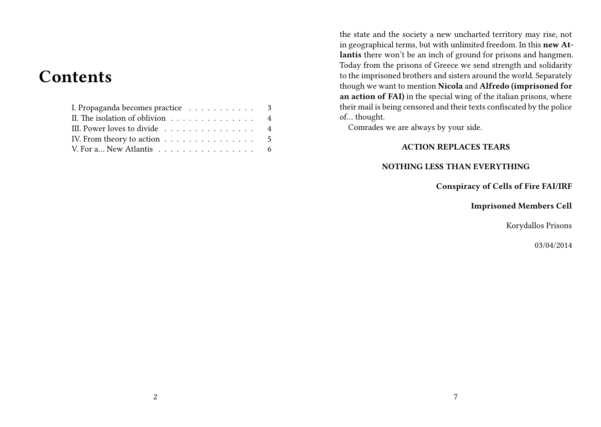# **Contents**

| I. Propaganda becomes practice 3                                 |  |
|------------------------------------------------------------------|--|
| II. The isolation of oblivion 4                                  |  |
| III. Power loves to divide 4                                     |  |
| IV. From theory to action $\ldots \ldots \ldots \ldots \ldots$ 5 |  |
| V. For a New Atlantis 6                                          |  |

the state and the society a new uncharted territory may rise, not in geographical terms, but with unlimited freedom. In this **new Atlantis** there won't be an inch of ground for prisons and hangmen. Today from the prisons of Greece we send strength and solidarity to the imprisoned brothers and sisters around the world. Separately though we want to mention **Nicola** and **Alfredo (imprisoned for an action of FAI)** in the special wing of the italian prisons, where their mail is being censored and their texts confiscated by the police of… thought.

Comrades we are always by your side.

#### **ACTION REPLACES TEARS**

#### **NOTHING LESS THAN EVERYTHING**

**Conspiracy of Cells of Fire FAI/IRF**

**Imprisoned Members Cell**

Korydallos Prisons

03/04/2014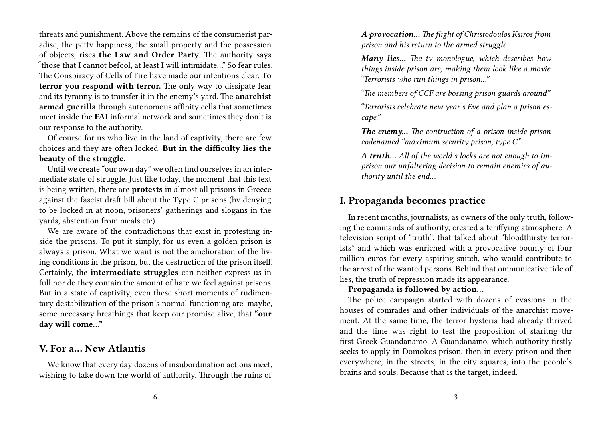threats and punishment. Above the remains of the consumerist paradise, the petty happiness, the small property and the possession of objects, rises **the Law and Order Party**. The authority says "those that I cannot befool, at least I will intimidate…" So fear rules. The Conspiracy of Cells of Fire have made our intentions clear. **To terror you respond with terror.** The only way to dissipate fear and its tyranny is to transfer it in the enemy's yard. The **anarchist armed guerilla** through autonomous affinity cells that sometimes meet inside the **FAI** informal network and sometimes they don't is our response to the authority.

Of course for us who live in the land of captivity, there are few choices and they are often locked. **But in the difficulty lies the beauty of the struggle.**

Until we create "our own day" we often find ourselves in an intermediate state of struggle. Just like today, the moment that this text is being written, there are **protests** in almost all prisons in Greece against the fascist draft bill about the Type C prisons (by denying to be locked in at noon, prisoners' gatherings and slogans in the yards, abstention from meals etc).

We are aware of the contradictions that exist in protesting inside the prisons. To put it simply, for us even a golden prison is always a prison. What we want is not the amelioration of the living conditions in the prison, but the destruction of the prison itself. Certainly, the **intermediate struggles** can neither express us in full nor do they contain the amount of hate we feel against prisons. But in a state of captivity, even these short moments of rudimentary destabilization of the prison's normal functioning are, maybe, some necessary breathings that keep our promise alive, that **"our day will come…"**

#### **V. For a… New Atlantis**

We know that every day dozens of insubordination actions meet, wishing to take down the world of authority. Through the ruins of *A provocation… The flight of Christodoulos Ksiros from prison and his return to the armed struggle.*

*Many lies… The tv monologue, which describes how things inside prison are, making them look like a movie. "Terrorists who run things in prison…"*

*"The members of CCF are bossing prison guards around"*

*"Terrorists celebrate new year's Eve and plan a prison escape."*

*The enemy… The contruction of a prison inside prison codenamed "maximum security prison, type C".*

*A truth… All of the world's locks are not enough to imprison our unfaltering decision to remain enemies of authority until the end…*

# **I. Propaganda becomes practice**

In recent months, journalists, as owners of the only truth, following the commands of authority, created a teriffying atmosphere. A television script of "truth", that talked about "bloodthirsty terrorists" and which was enriched with a provocative bounty of four million euros for every aspiring snitch, who would contribute to the arrest of the wanted persons. Behind that ommunicative tide of lies, the truth of repression made its appearance.

#### **Propaganda is followed by action…**

The police campaign started with dozens of evasions in the houses of comrades and other individuals of the anarchist movement. At the same time, the terror hysteria had already thrived and the time was right to test the proposition of staritng thr first Greek Guandanamo. A Guandanamo, which authority firstly seeks to apply in Domokos prison, then in every prison and then everywhere, in the streets, in the city squares, into the people's brains and souls. Because that is the target, indeed.